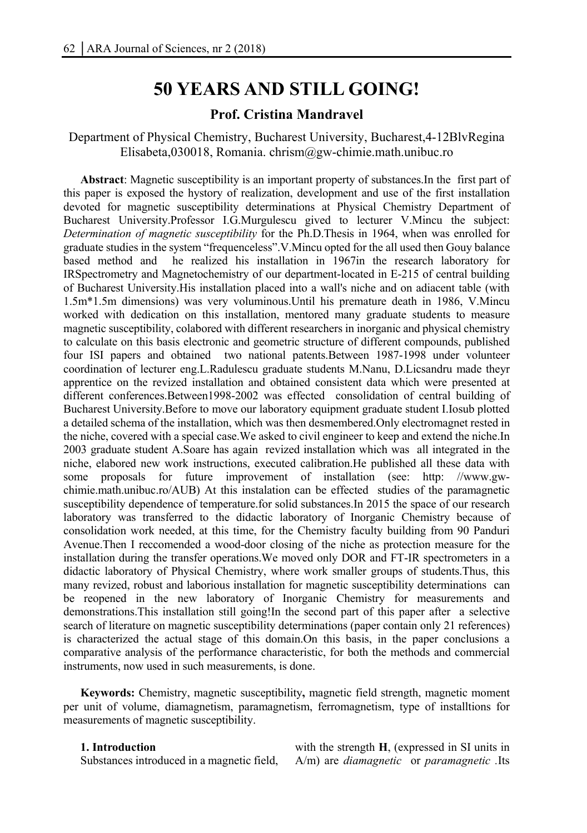# **50 YEARS AND STILL GOING!**

# **Prof. Cristina Mandravel**

Department of Physical Chemistry, Bucharest University, Bucharest,4-12BlvRegina Elisabeta,030018, Romania. chrism@gw-chimie.math.unibuc.ro

**Abstract**: Magnetic susceptibility is an important property of substances.In the first part of this paper is exposed the hystory of realization, development and use of the first installation devoted for magnetic susceptibility determinations at Physical Chemistry Department of Bucharest University.Professor I.G.Murgulescu gived to lecturer V.Mincu the subject: *Determination of magnetic susceptibility* for the Ph.D.Thesis in 1964, when was enrolled for graduate studies in the system "frequenceless".V.Mincu opted for the all used then Gouy balance based method and he realized his installation in 1967in the research laboratory for IRSpectrometry and Magnetochemistry of our department-located in E-215 of central building of Bucharest University.His installation placed into a wall's niche and on adiacent table (with 1.5m\*1.5m dimensions) was very voluminous.Until his premature death in 1986, V.Mincu worked with dedication on this installation, mentored many graduate students to measure magnetic susceptibility, colabored with different researchers in inorganic and physical chemistry to calculate on this basis electronic and geometric structure of different compounds, published four ISI papers and obtained two national patents.Between 1987-1998 under volunteer coordination of lecturer eng.L.Radulescu graduate students M.Nanu, D.Licsandru made theyr apprentice on the revized installation and obtained consistent data which were presented at different conferences.Between1998-2002 was effected consolidation of central building of Bucharest University.Before to move our laboratory equipment graduate student I.Iosub plotted a detailed schema of the installation, which was then desmembered.Only electromagnet rested in the niche, covered with a special case.We asked to civil engineer to keep and extend the niche.In 2003 graduate student A.Soare has again revized installation which was all integrated in the niche, elabored new work instructions, executed calibration.He published all these data with some proposals for future improvement of installation (see: http: //www.gwchimie.math.unibuc.ro/AUB) At this instalation can be effected studies of the paramagnetic susceptibility dependence of temperature.for solid substances.In 2015 the space of our research laboratory was transferred to the didactic laboratory of Inorganic Chemistry because of consolidation work needed, at this time, for the Chemistry faculty building from 90 Panduri Avenue.Then I reccomended a wood-door closing of the niche as protection measure for the installation during the transfer operations.We moved only DOR and FT-IR spectrometers in a didactic laboratory of Physical Chemistry, where work smaller groups of students.Thus, this many revized, robust and laborious installation for magnetic susceptibility determinations can be reopened in the new laboratory of Inorganic Chemistry for measurements and demonstrations.This installation still going!In the second part of this paper after a selective search of literature on magnetic susceptibility determinations (paper contain only 21 references) is characterized the actual stage of this domain.On this basis, in the paper conclusions a comparative analysis of the performance characteristic, for both the methods and commercial instruments, now used in such measurements, is done.

**Keywords:** Chemistry, magnetic susceptibility**,** magnetic field strength, magnetic moment per unit of volume, diamagnetism, paramagnetism, ferromagnetism, type of installtions for measurements of magnetic susceptibility.

#### **1. Introduction**

Substances introduced in a magnetic field,

with the strength **H**, (expressed in SI units in A/m) are *diamagnetic* or *paramagnetic .*Its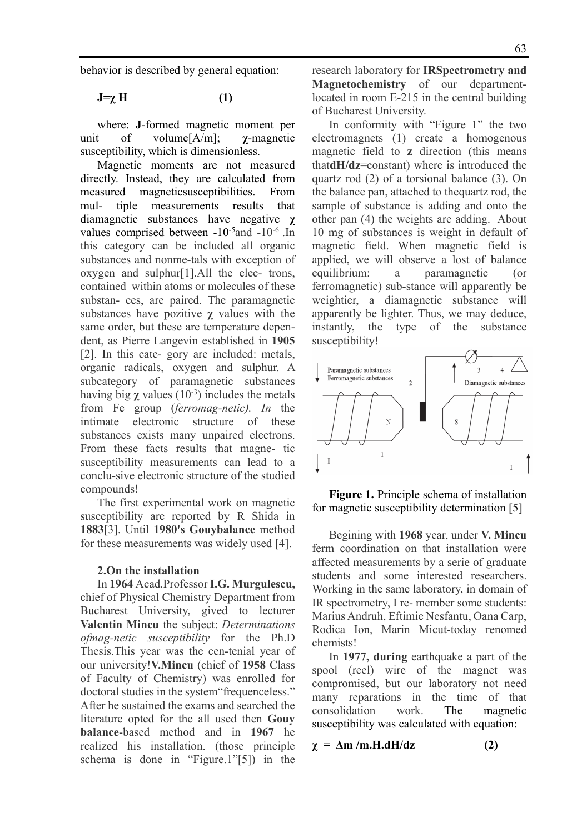behavior is described by general equation:

**J=χ H (1)** 

where: **J**-formed magnetic moment per unit of volume[A/m]; **χ**-magnetic susceptibility, which is dimensionless.

Magnetic moments are not measured directly. Instead, they are calculated from measured magneticsusceptibilities. From mul- tiple measurements results that diamagnetic substances have negative **χ** values comprised between  $-10^{-5}$  and  $-10^{-6}$ . In this category can be included all organic substances and nonme-tals with exception of oxygen and sulphur[1].All the elec- trons, contained within atoms or molecules of these substan- ces, are paired. The paramagnetic substances have pozitive **χ** values with the same order, but these are temperature dependent, as Pierre Langevin established in **1905**  [2]. In this cate- gory are included: metals, organic radicals, oxygen and sulphur. A subcategory of paramagnetic substances having big  $\chi$  values (10<sup>-3</sup>) includes the metals from Fe group (*ferromag-netic). In* the intimate electronic structure of these substances exists many unpaired electrons. From these facts results that magne- tic susceptibility measurements can lead to a conclu-sive electronic structure of the studied compounds!

The first experimental work on magnetic susceptibility are reported by R Shida in **1883**[3]. Until **1980's Gouybalance** method for these measurements was widely used [4].

#### **2.On the installation**

In **1964** Acad.Professor **I.G. Murgulescu,**  chief of Physical Chemistry Department from Bucharest University, gived to lecturer **Valentin Mincu** the subject: *Determinations ofmag-netic susceptibility* for the Ph.D Thesis.This year was the cen-tenial year of our university!**V.Mincu** (chief of **1958** Class of Faculty of Chemistry) was enrolled for doctoral studies in the system"frequenceless." After he sustained the exams and searched the literature opted for the all used then **Gouy balance**-based method and in **1967** he realized his installation. (those principle schema is done in "Figure.1"[5]) in the

research laboratory for **IRSpectrometry and Magnetochemistry** of our departmentlocated in room E-215 in the central building of Bucharest University.

In conformity with "Figure 1" the two electromagnets (1) create a homogenous magnetic field to **z** direction (this means that**dH/dz**=constant) where is introduced the quartz rod (2) of a torsional balance (3). On the balance pan, attached to thequartz rod, the sample of substance is adding and onto the other pan (4) the weights are adding. About 10 mg of substances is weight in default of magnetic field. When magnetic field is applied, we will observe a lost of balance equilibrium: a paramagnetic (or ferromagnetic) sub-stance will apparently be weightier, a diamagnetic substance will apparently be lighter. Thus, we may deduce, instantly, the type of the substance susceptibility!



**Figure 1.** Principle schema of installation for magnetic susceptibility determination [5]

Begining with **1968** year, under **V. Mincu**  ferm coordination on that installation were affected measurements by a serie of graduate students and some interested researchers. Working in the same laboratory, in domain of IR spectrometry, I re- member some students: Marius Andruh, Eftimie Nesfantu, Oana Carp, Rodica Ion, Marin Micut-today renomed chemists!

In **1977, during** earthquake a part of the spool (reel) wire of the magnet was compromised, but our laboratory not need many reparations in the time of that consolidation work. The magnetic susceptibility was calculated with equation:

$$
\chi = \Delta m / m.H.dH/dz \tag{2}
$$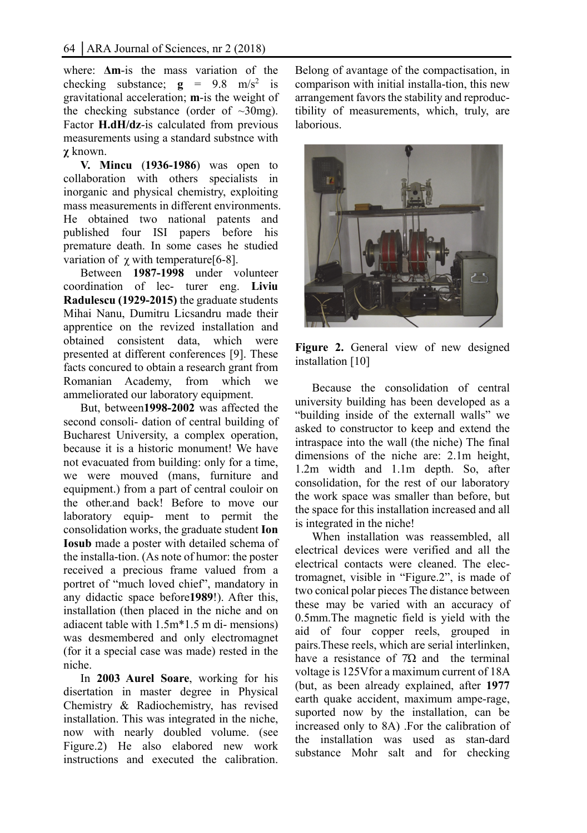where: **Δm**-is the mass variation of the checking substance;  $g = 9.8$  m/s<sup>2</sup> is gravitational acceleration; **m**-is the weight of the checking substance (order of  $\sim 30$ mg). Factor **H.dH/dz**-is calculated from previous measurements using a standard substnce with **χ** known.

**V. Mincu** (**1936-1986**) was open to collaboration with others specialists in inorganic and physical chemistry, exploiting mass measurements in different environments. He obtained two national patents and published four ISI papers before his premature death. In some cases he studied variation of  $\gamma$  with temperature [6-8].

Between **1987-1998** under volunteer coordination of lec- turer eng. **Liviu Radulescu (1929-2015)** the graduate students Mihai Nanu, Dumitru Licsandru made their apprentice on the revized installation and obtained consistent data, which were presented at different conferences [9]. These facts concured to obtain a research grant from Romanian Academy, from which we ammeliorated our laboratory equipment.

But, between**1998-2002** was affected the second consoli- dation of central building of Bucharest University, a complex operation, because it is a historic monument! We have not evacuated from building: only for a time, we were mouved (mans, furniture and equipment.) from a part of central couloir on the other.and back! Before to move our laboratory equip- ment to permit the consolidation works, the graduate student **Ion Iosub** made a poster with detailed schema of the installa-tion. (As note of humor: the poster received a precious frame valued from a portret of "much loved chief", mandatory in any didactic space before**1989**!). After this, installation (then placed in the niche and on adiacent table with 1.5m\*1.5 m di- mensions) was desmembered and only electromagnet (for it a special case was made) rested in the niche.

In **2003 Aurel Soare**, working for his disertation in master degree in Physical Chemistry & Radiochemistry, has revised installation. This was integrated in the niche, now with nearly doubled volume. (see Figure.2) He also elabored new work instructions and executed the calibration.

Belong of avantage of the compactisation, in comparison with initial installa-tion, this new arrangement favors the stability and reproductibility of measurements, which, truly, are laborious.



Figure 2. General view of new designed installation [10]

Because the consolidation of central university building has been developed as a "building inside of the externall walls" we asked to constructor to keep and extend the intraspace into the wall (the niche) The final dimensions of the niche are: 2.1m height, 1.2m width and 1.1m depth. So, after consolidation, for the rest of our laboratory the work space was smaller than before, but the space for this installation increased and all is integrated in the niche!

When installation was reassembled, all electrical devices were verified and all the electrical contacts were cleaned. The electromagnet, visible in "Figure.2", is made of two conical polar pieces The distance between these may be varied with an accuracy of 0.5mm.The magnetic field is yield with the aid of four copper reels, grouped in pairs.These reels, which are serial interlinken, have a resistance of  $7\Omega$  and the terminal voltage is 125Vfor a maximum current of 18A (but, as been already explained, after **1977** earth quake accident, maximum ampe-rage, suported now by the installation, can be increased only to 8A) .For the calibration of the installation was used as stan-dard substance Mohr salt and for checking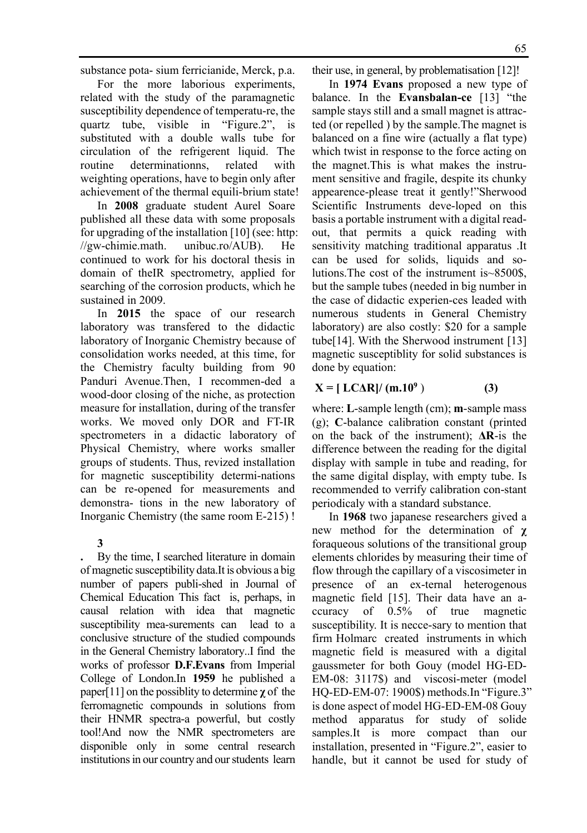substance pota- sium ferricianide, Merck, p.a.

For the more laborious experiments, related with the study of the paramagnetic susceptibility dependence of temperatu-re, the quartz tube, visible in "Figure.2", is substituted with a double walls tube for circulation of the refrigerent liquid. The routine determinationns, related with weighting operations, have to begin only after achievement of the thermal equili-brium state!

In **2008** graduate student Aurel Soare published all these data with some proposals for upgrading of the installation [10] (see: http: //gw-chimie.math. unibuc.ro/AUB). He continued to work for his doctoral thesis in domain of theIR spectrometry, applied for searching of the corrosion products, which he sustained in 2009.

In **2015** the space of our research laboratory was transfered to the didactic laboratory of Inorganic Chemistry because of consolidation works needed, at this time, for the Chemistry faculty building from 90 Panduri Avenue.Then, I recommen-ded a wood-door closing of the niche, as protection measure for installation, during of the transfer works. We moved only DOR and FT-IR spectrometers in a didactic laboratory of Physical Chemistry, where works smaller groups of students. Thus, revized installation for magnetic susceptibility determi-nations can be re-opened for measurements and demonstra- tions in the new laboratory of Inorganic Chemistry (the same room E-215) !

### **3**

**.** By the time, I searched literature in domain of magnetic susceptibility data.It is obvious a big number of papers publi-shed in Journal of Chemical Education This fact is, perhaps, in causal relation with idea that magnetic susceptibility mea-surements can lead to a conclusive structure of the studied compounds in the General Chemistry laboratory..I find the works of professor **D.F.Evans** from Imperial College of London.In **1959** he published a paper[11] on the possiblity to determine **χ** of the ferromagnetic compounds in solutions from their HNMR spectra-a powerful, but costly tool!And now the NMR spectrometers are disponible only in some central research institutions in our country and our students learn

their use, in general, by problematisation [12]!

In **1974 Evans** proposed a new type of balance. In the **Evansbalan-ce** [13] "the sample stays still and a small magnet is attracted (or repelled ) by the sample.The magnet is balanced on a fine wire (actually a flat type) which twist in response to the force acting on the magnet.This is what makes the instrument sensitive and fragile, despite its chunky appearence-please treat it gently!"Sherwood Scientific Instruments deve-loped on this basis a portable instrument with a digital readout, that permits a quick reading with sensitivity matching traditional apparatus .It can be used for solids, liquids and solutions. The cost of the instrument  $is \sim 8500$ \$ but the sample tubes (needed in big number in the case of didactic experien-ces leaded with numerous students in General Chemistry laboratory) are also costly: \$20 for a sample tube[14]. With the Sherwood instrument [13] magnetic susceptiblity for solid substances is done by equation:

#### $X = [ LCAR]/ (m.10^9)$ ) **(3)**

where: **L**-sample length (cm); **m**-sample mass (g); **C**-balance calibration constant (printed on the back of the instrument); **ΔR**-is the difference between the reading for the digital display with sample in tube and reading, for the same digital display, with empty tube. Is recommended to verrify calibration con-stant periodicaly with a standard substance.

In **1968** two japanese researchers gived a new method for the determination of **χ** foraqueous solutions of the transitional group elements chlorides by measuring their time of flow through the capillary of a viscosimeter in presence of an ex-ternal heterogenous magnetic field [15]. Their data have an accuracy of 0.5% of true magnetic susceptibility. It is necce-sary to mention that firm Holmarc created instruments in which magnetic field is measured with a digital gaussmeter for both Gouy (model HG-ED-EM-08: 3117\$) and viscosi-meter (model HQ-ED-EM-07: 1900\$) methods.In "Figure.3" is done aspect of model HG-ED-EM-08 Gouy method apparatus for study of solide samples.It is more compact than our installation, presented in "Figure.2", easier to handle, but it cannot be used for study of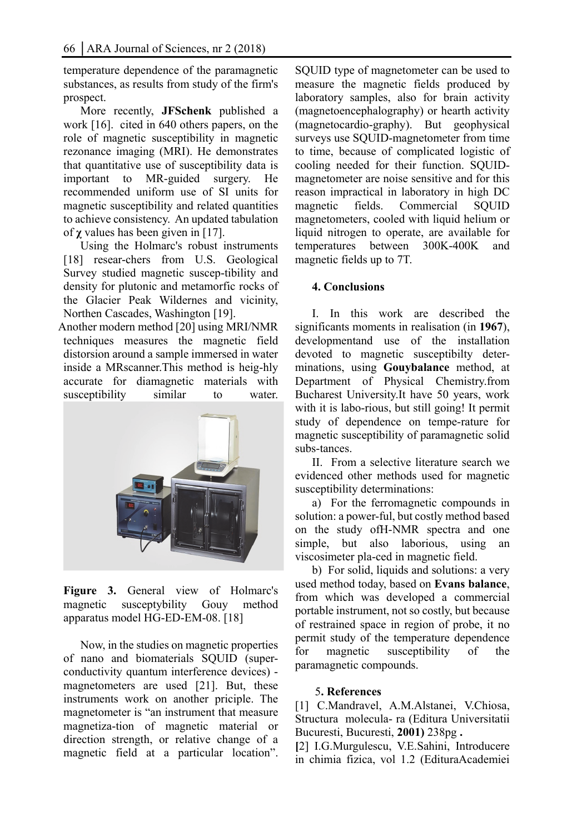temperature dependence of the paramagnetic substances, as results from study of the firm's prospect.

More recently, **JFSchenk** published a work [16]. cited in 640 others papers, on the role of magnetic susceptibility in magnetic rezonance imaging (MRI). He demonstrates that quantitative use of susceptibility data is important to MR-guided surgery. He recommended uniform use of SI units for magnetic susceptibility and related quantities to achieve consistency. An updated tabulation of **χ** values has been given in [17].

Using the Holmarc's robust instruments [18] resear-chers from U.S. Geological Survey studied magnetic suscep-tibility and density for plutonic and metamorfic rocks of the Glacier Peak Wildernes and vicinity, Northen Cascades, Washington [19].

Another modern method [20] using MRI/NMR techniques measures the magnetic field distorsion around a sample immersed in water inside a MRscanner.This method is heig-hly accurate for diamagnetic materials with susceptibility similar to water.



**Figure 3.** General view of Holmarc's magnetic susceptybility Gouy method apparatus model HG-ED-EM-08. [18]

Now, in the studies on magnetic properties of nano and biomaterials SQUID (superconductivity quantum interference devices) magnetometers are used [21]. But, these instruments work on another priciple. The magnetometer is "an instrument that measure magnetiza-tion of magnetic material or direction strength, or relative change of a magnetic field at a particular location". SQUID type of magnetometer can be used to measure the magnetic fields produced by laboratory samples, also for brain activity (magnetoencephalography) or hearth activity (magnetocardio-graphy). But geophysical surveys use SQUID-magnetometer from time to time, because of complicated logistic of cooling needed for their function. SQUIDmagnetometer are noise sensitive and for this reason impractical in laboratory in high DC magnetic fields. Commercial SQUID magnetometers, cooled with liquid helium or liquid nitrogen to operate, are available for temperatures between 300K-400K and magnetic fields up to 7T.

## **4. Conclusions**

I. In this work are described the significants moments in realisation (in **1967**), developmentand use of the installation devoted to magnetic susceptibilty determinations, using **Gouybalance** method, at Department of Physical Chemistry.from Bucharest University.It have 50 years, work with it is labo-rious, but still going! It permit study of dependence on tempe-rature for magnetic susceptibility of paramagnetic solid subs-tances.

II. From a selective literature search we evidenced other methods used for magnetic susceptibility determinations:

a) For the ferromagnetic compounds in solution: a power-ful, but costly method based on the study ofH-NMR spectra and one simple, but also laborious, using an viscosimeter pla-ced in magnetic field.

b) For solid, liquids and solutions: a very used method today, based on **Evans balance**, from which was developed a commercial portable instrument, not so costly, but because of restrained space in region of probe, it no permit study of the temperature dependence for magnetic susceptibility of the paramagnetic compounds.

### 5**. References**

[1] C.Mandravel, A.M.Alstanei, V.Chiosa, Structura molecula- ra (Editura Universitatii Bucuresti, Bucuresti, **2001)** 238pg **.**

**[**2] I.G.Murgulescu, V.E.Sahini, Introducere in chimia fizica, vol 1.2 (EdituraAcademiei